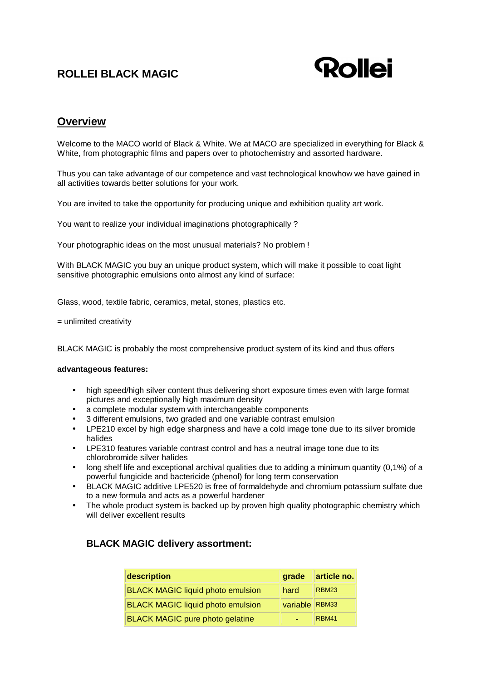# **ROLLEI BLACK MAGIC**



### **Overview**

Welcome to the MACO world of Black & White. We at MACO are specialized in everything for Black & White, from photographic films and papers over to photochemistry and assorted hardware.

Thus you can take advantage of our competence and vast technological knowhow we have gained in all activities towards better solutions for your work.

You are invited to take the opportunity for producing unique and exhibition quality art work.

You want to realize your individual imaginations photographically ?

Your photographic ideas on the most unusual materials? No problem !

With BLACK MAGIC you buy an unique product system, which will make it possible to coat light sensitive photographic emulsions onto almost any kind of surface:

Glass, wood, textile fabric, ceramics, metal, stones, plastics etc.

= unlimited creativity

BLACK MAGIC is probably the most comprehensive product system of its kind and thus offers

#### **advantageous features:**

- high speed/high silver content thus delivering short exposure times even with large format pictures and exceptionally high maximum density
- a complete modular system with interchangeable components
- 3 different emulsions, two graded and one variable contrast emulsion
- LPE210 excel by high edge sharpness and have a cold image tone due to its silver bromide halides
- LPE310 features variable contrast control and has a neutral image tone due to its chlorobromide silver halides
- long shelf life and exceptional archival qualities due to adding a minimum quantity (0,1%) of a powerful fungicide and bactericide (phenol) for long term conservation
- BLACK MAGIC additive LPE520 is free of formaldehyde and chromium potassium sulfate due to a new formula and acts as a powerful hardener
- The whole product system is backed up by proven high quality photographic chemistry which will deliver excellent results

### **BLACK MAGIC delivery assortment:**

| description                              | grade          | article no.  |
|------------------------------------------|----------------|--------------|
| <b>BLACK MAGIC liquid photo emulsion</b> | hard           | <b>RBM23</b> |
| <b>BLACK MAGIC liquid photo emulsion</b> | variable RBM33 |              |
| <b>BLACK MAGIC pure photo gelatine</b>   |                | <b>RBM41</b> |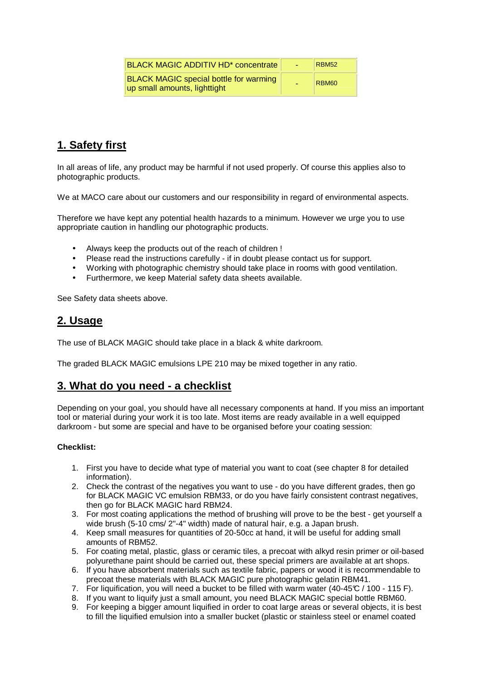| <b>BLACK MAGIC ADDITIV HD* concentrate</b>                                    | ÷. | <b>RBM52</b>      |
|-------------------------------------------------------------------------------|----|-------------------|
| <b>BLACK MAGIC special bottle for warming</b><br>up small amounts, lighttight |    | RBM <sub>60</sub> |

# **1. Safety first**

In all areas of life, any product may be harmful if not used properly. Of course this applies also to photographic products.

We at MACO care about our customers and our responsibility in regard of environmental aspects.

Therefore we have kept any potential health hazards to a minimum. However we urge you to use appropriate caution in handling our photographic products.

- Always keep the products out of the reach of children !
- Please read the instructions carefully if in doubt please contact us for support.
- Working with photographic chemistry should take place in rooms with good ventilation.
- Furthermore, we keep Material safety data sheets available.

See Safety data sheets above.

### **2. Usage**

The use of BLACK MAGIC should take place in a black & white darkroom.

The graded BLACK MAGIC emulsions LPE 210 may be mixed together in any ratio.

### **3. What do you need - a checklist**

Depending on your goal, you should have all necessary components at hand. If you miss an important tool or material during your work it is too late. Most items are ready available in a well equipped darkroom - but some are special and have to be organised before your coating session:

#### **Checklist:**

- 1. First you have to decide what type of material you want to coat (see chapter 8 for detailed information).
- 2. Check the contrast of the negatives you want to use do you have different grades, then go for BLACK MAGIC VC emulsion RBM33, or do you have fairly consistent contrast negatives, then go for BLACK MAGIC hard RBM24.
- 3. For most coating applications the method of brushing will prove to be the best get yourself a wide brush (5-10 cms/ 2"-4" width) made of natural hair, e.g. a Japan brush.
- 4. Keep small measures for quantities of 20-50cc at hand, it will be useful for adding small amounts of RBM52.
- 5. For coating metal, plastic, glass or ceramic tiles, a precoat with alkyd resin primer or oil-based polyurethane paint should be carried out, these special primers are available at art shops.
- 6. If you have absorbent materials such as textile fabric, papers or wood it is recommendable to precoat these materials with BLACK MAGIC pure photographic gelatin RBM41.
- 7. For liquification, you will need a bucket to be filled with warm water (40-45 $C$  / 100 115 F).
- 8. If you want to liquify just a small amount, you need BLACK MAGIC special bottle RBM60.
- 9. For keeping a bigger amount liquified in order to coat large areas or several objects, it is best to fill the liquified emulsion into a smaller bucket (plastic or stainless steel or enamel coated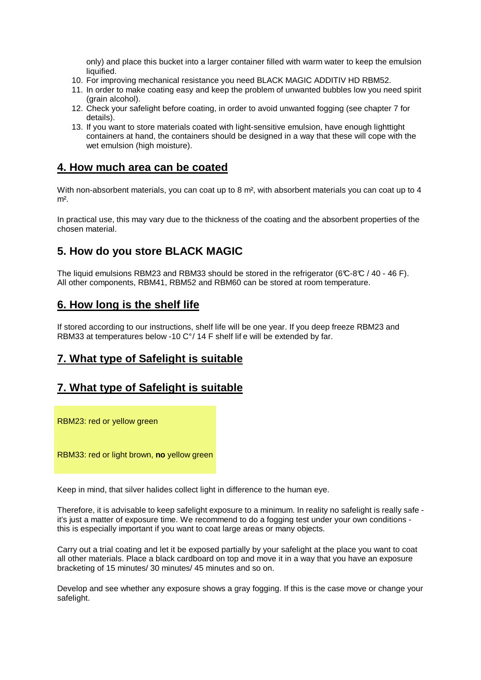only) and place this bucket into a larger container filled with warm water to keep the emulsion liquified.

- 10. For improving mechanical resistance you need BLACK MAGIC ADDITIV HD RBM52.
- 11. In order to make coating easy and keep the problem of unwanted bubbles low you need spirit (grain alcohol).
- 12. Check your safelight before coating, in order to avoid unwanted fogging (see chapter 7 for details).
- 13. If you want to store materials coated with light-sensitive emulsion, have enough lighttight containers at hand, the containers should be designed in a way that these will cope with the wet emulsion (high moisture).

### **4. How much area can be coated**

With non-absorbent materials, you can coat up to 8 m<sup>2</sup>, with absorbent materials you can coat up to 4  $m<sup>2</sup>$ 

In practical use, this may vary due to the thickness of the coating and the absorbent properties of the chosen material.

### **5. How do you store BLACK MAGIC**

The liquid emulsions RBM23 and RBM33 should be stored in the refrigerator (6°C-8°C / 40 - 46 F). All other components, RBM41, RBM52 and RBM60 can be stored at room temperature.

### **6. How long is the shelf life**

If stored according to our instructions, shelf life will be one year. If you deep freeze RBM23 and RBM33 at temperatures below -10 C°/ 14 F shelf life will be extended by far.

# **7. What type of Safelight is suitable**

### **7. What type of Safelight is suitable**

RBM23: red or yellow green

RBM33: red or light brown, **no** yellow green

Keep in mind, that silver halides collect light in difference to the human eye.

Therefore, it is advisable to keep safelight exposure to a minimum. In reality no safelight is really safe it's just a matter of exposure time. We recommend to do a fogging test under your own conditions this is especially important if you want to coat large areas or many objects.

Carry out a trial coating and let it be exposed partially by your safelight at the place you want to coat all other materials. Place a black cardboard on top and move it in a way that you have an exposure bracketing of 15 minutes/ 30 minutes/ 45 minutes and so on.

Develop and see whether any exposure shows a gray fogging. If this is the case move or change your safelight.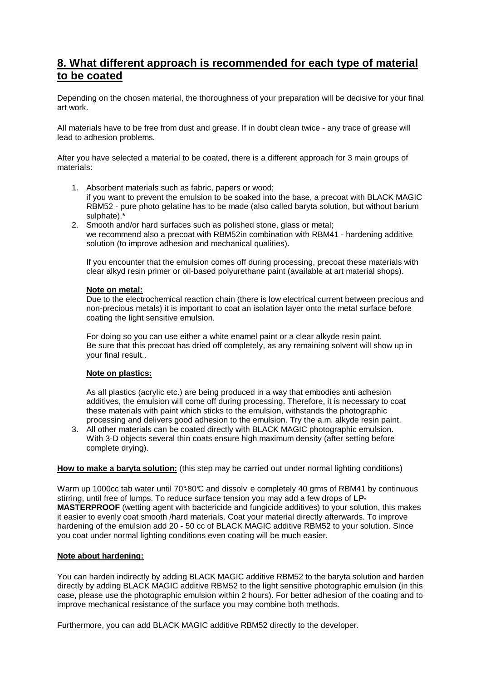### **8. What different approach is recommended for each type of material to be coated**

Depending on the chosen material, the thoroughness of your preparation will be decisive for your final art work.

All materials have to be free from dust and grease. If in doubt clean twice - any trace of grease will lead to adhesion problems.

After you have selected a material to be coated, there is a different approach for 3 main groups of materials:

- 1. Absorbent materials such as fabric, papers or wood; if you want to prevent the emulsion to be soaked into the base, a precoat with BLACK MAGIC RBM52 - pure photo gelatine has to be made (also called baryta solution, but without barium sulphate).\*
- 2. Smooth and/or hard surfaces such as polished stone, glass or metal; we recommend also a precoat with RBM52in combination with RBM41 - hardening additive solution (to improve adhesion and mechanical qualities).

If you encounter that the emulsion comes off during processing, precoat these materials with clear alkyd resin primer or oil-based polyurethane paint (available at art material shops).

#### **Note on metal:**

Due to the electrochemical reaction chain (there is low electrical current between precious and non-precious metals) it is important to coat an isolation layer onto the metal surface before coating the light sensitive emulsion.

For doing so you can use either a white enamel paint or a clear alkyde resin paint. Be sure that this precoat has dried off completely, as any remaining solvent will show up in your final result..

#### **Note on plastics:**

As all plastics (acrylic etc.) are being produced in a way that embodies anti adhesion additives, the emulsion will come off during processing. Therefore, it is necessary to coat these materials with paint which sticks to the emulsion, withstands the photographic processing and delivers good adhesion to the emulsion. Try the a.m. alkyde resin paint.

3. All other materials can be coated directly with BLACK MAGIC photographic emulsion. With 3-D objects several thin coats ensure high maximum density (after setting before complete drying).

#### **How to make a baryta solution:** (this step may be carried out under normal lighting conditions)

Warm up 1000cc tab water until 70°80°C and dissolv e completely 40 grms of RBM41 by continuous stirring, until free of lumps. To reduce surface tension you may add a few drops of **LP-MASTERPROOF** (wetting agent with bactericide and fungicide additives) to your solution, this makes it easier to evenly coat smooth /hard materials. Coat your material directly afterwards. To improve hardening of the emulsion add 20 - 50 cc of BLACK MAGIC additive RBM52 to your solution. Since you coat under normal lighting conditions even coating will be much easier.

#### **Note about hardening:**

You can harden indirectly by adding BLACK MAGIC additive RBM52 to the baryta solution and harden directly by adding BLACK MAGIC additive RBM52 to the light sensitive photographic emulsion (in this case, please use the photographic emulsion within 2 hours). For better adhesion of the coating and to improve mechanical resistance of the surface you may combine both methods.

Furthermore, you can add BLACK MAGIC additive RBM52 directly to the developer.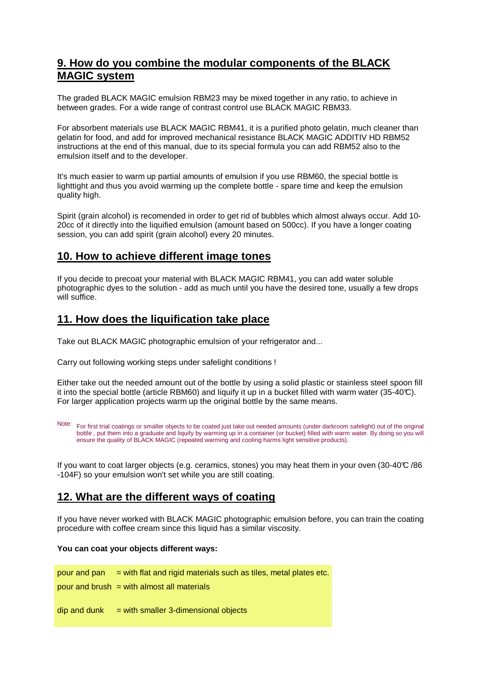### **9. How do you combine the modular components of the BLACK MAGIC system**

The graded BLACK MAGIC emulsion RBM23 may be mixed together in any ratio, to achieve in between grades. For a wide range of contrast control use BLACK MAGIC RBM33.

For absorbent materials use BLACK MAGIC RBM41, it is a purified photo gelatin, much cleaner than gelatin for food, and add for improved mechanical resistance BLACK MAGIC ADDITIV HD RBM52 instructions at the end of this manual, due to its special formula you can add RBM52 also to the emulsion itself and to the developer.

It's much easier to warm up partial amounts of emulsion if you use RBM60, the special bottle is lighttight and thus you avoid warming up the complete bottle - spare time and keep the emulsion quality high.

Spirit (grain alcohol) is recomended in order to get rid of bubbles which almost always occur. Add 10- 20cc of it directly into the liquified emulsion (amount based on 500cc). If you have a longer coating session, you can add spirit (grain alcohol) every 20 minutes.

### **10. How to achieve different image tones**

If you decide to precoat your material with BLACK MAGIC RBM41, you can add water soluble photographic dyes to the solution - add as much until you have the desired tone, usually a few drops will suffice.

### **11. How does the liquification take place**

Take out BLACK MAGIC photographic emulsion of your refrigerator and...

Carry out following working steps under safelight conditions !

Either take out the needed amount out of the bottle by using a solid plastic or stainless steel spoon fill it into the special bottle (article RBM60) and liquify it up in a bucket filled with warm water (35-40°C). For larger application projects warm up the original bottle by the same means.

Note: For first trial coatings or smaller objects to be coated just take out needed amounts (under darkroom safelight) out of the original bottle , put them into a graduate and liquify by warming up in a container (or bucket) filled with warm water. By doing so you will ensure the quality of BLACK MAGIC (repeated warming and cooling harms light sensitive products).

If you want to coat larger objects (e.g. ceramics, stones) you may heat them in your oven (30-40 $\degree$ C /86 -104F) so your emulsion won't set while you are still coating.

### **12. What are the different ways of coating**

If you have never worked with BLACK MAGIC photographic emulsion before, you can train the coating procedure with coffee cream since this liquid has a similar viscosity.

#### **You can coat your objects different ways:**

| pour and pan | $=$ with flat and rigid materials such as tiles, metal plates etc. |
|--------------|--------------------------------------------------------------------|
|              | pour and brush $=$ with almost all materials                       |
|              |                                                                    |
| dip and dunk | $=$ with smaller 3-dimensional objects                             |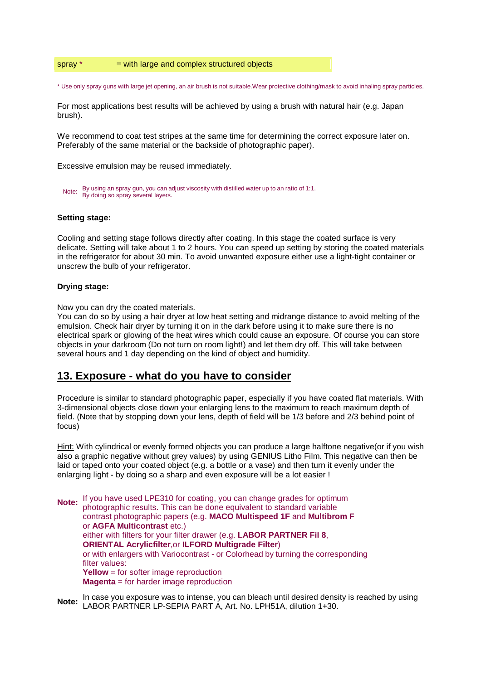#### spray  $*$  = with large and complex structured objects

\* Use only spray guns with large jet opening, an air brush is not suitable.Wear protective clothing/mask to avoid inhaling spray particles.

For most applications best results will be achieved by using a brush with natural hair (e.g. Japan brush).

We recommend to coat test stripes at the same time for determining the correct exposure later on. Preferably of the same material or the backside of photographic paper).

Excessive emulsion may be reused immediately.

```
By using an spray gun, you can adjust viscosity with distilled water up to an ratio of 1:1.
Note: By using an spray you, you can be By doing so spray several layers.
```
#### **Setting stage:**

Cooling and setting stage follows directly after coating. In this stage the coated surface is very delicate. Setting will take about 1 to 2 hours. You can speed up setting by storing the coated materials in the refrigerator for about 30 min. To avoid unwanted exposure either use a light-tight container or unscrew the bulb of your refrigerator.

#### **Drying stage:**

Now you can dry the coated materials.

You can do so by using a hair dryer at low heat setting and midrange distance to avoid melting of the emulsion. Check hair dryer by turning it on in the dark before using it to make sure there is no electrical spark or glowing of the heat wires which could cause an exposure. Of course you can store objects in your darkroom (Do not turn on room light!) and let them dry off. This will take between several hours and 1 day depending on the kind of object and humidity.

#### **13. Exposure - what do you have to consider**

Procedure is similar to standard photographic paper, especially if you have coated flat materials. With 3-dimensional objects close down your enlarging lens to the maximum to reach maximum depth of field. (Note that by stopping down your lens, depth of field will be 1/3 before and 2/3 behind point of focus)

Hint: With cylindrical or evenly formed objects you can produce a large halftone negative(or if you wish also a graphic negative without grey values) by using GENIUS Litho Film. This negative can then be laid or taped onto your coated object (e.g. a bottle or a vase) and then turn it evenly under the enlarging light - by doing so a sharp and even exposure will be a lot easier !

**Note:** If you have used LPE310 for coating, you can change grades for optimum photographic results. This can be done equivalent to standard variable contrast photographic papers (e.g. **MACO Multispeed 1F** and **Multibrom F** or **AGFA Multicontrast** etc.) either with filters for your filter drawer (e.g. **LABOR PARTNER Fil 8**, **ORIENTAL Acrylicfilter**,or **ILFORD Multigrade Filter**) or with enlargers with Variocontrast - or Colorhead by turning the corresponding filter values: **Yellow** = for softer image reproduction **Magenta** = for harder image reproduction

**Note:** In case you exposure was to intense, you can bleach until desired density is reached by using LABOR PARTNER LP-SEPIA PART A, Art. No. LPH51A, dilution 1+30.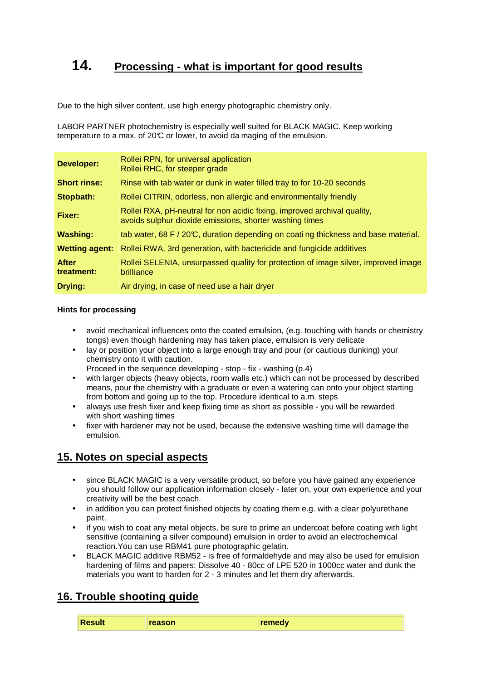# **14. Processing - what is important for good results**

Due to the high silver content, use high energy photographic chemistry only.

LABOR PARTNER photochemistry is especially well suited for BLACK MAGIC. Keep working temperature to a max. of 20°C or lower, to avoid da maging of the emulsion.

| <b>Developer:</b>          | Rollei RPN, for universal application<br>Rollei RHC, for steeper grade                                                              |
|----------------------------|-------------------------------------------------------------------------------------------------------------------------------------|
| <b>Short rinse:</b>        | Rinse with tab water or dunk in water filled tray to for 10-20 seconds                                                              |
| Stopbath:                  | Rollei CITRIN, odorless, non allergic and environmentally friendly                                                                  |
| Fixer:                     | Rollei RXA, pH-neutral for non acidic fixing, improved archival quality,<br>avoids sulphur dioxide emissions, shorter washing times |
| <b>Washing:</b>            | tab water, 68 F / 20°C, duration depending on coati ng thickness and base material.                                                 |
| <b>Wetting agent:</b>      | Rollei RWA, 3rd generation, with bactericide and fungicide additives                                                                |
| <b>After</b><br>treatment: | Rollei SELENIA, unsurpassed quality for protection of image silver, improved image<br>brilliance                                    |
| <b>Drying:</b>             | Air drying, in case of need use a hair dryer                                                                                        |

#### **Hints for processing**

- avoid mechanical influences onto the coated emulsion, (e.g. touching with hands or chemistry tongs) even though hardening may has taken place, emulsion is very delicate
- lay or position your object into a large enough tray and pour (or cautious dunking) your chemistry onto it with caution.
	- Proceed in the sequence developing stop fix washing (p.4)
- with larger objects (heavy objects, room walls etc.) which can not be processed by described means, pour the chemistry with a graduate or even a watering can onto your object starting from bottom and going up to the top. Procedure identical to a.m. steps
- always use fresh fixer and keep fixing time as short as possible you will be rewarded with short washing times
- fixer with hardener may not be used, because the extensive washing time will damage the emulsion.

# **15. Notes on special aspects**

- since BLACK MAGIC is a very versatile product, so before you have gained any experience you should follow our application information closely - later on, your own experience and your creativity will be the best coach.
- in addition you can protect finished objects by coating them e.g. with a clear polyurethane paint.
- if you wish to coat any metal objects, be sure to prime an undercoat before coating with light sensitive (containing a silver compound) emulsion in order to avoid an electrochemical reaction.You can use RBM41 pure photographic gelatin.
- BLACK MAGIC additive RBM52 is free of formaldehyde and may also be used for emulsion hardening of films and papers: Dissolve 40 - 80cc of LPE 520 in 1000cc water and dunk the materials you want to harden for 2 - 3 minutes and let them dry afterwards.

# **16. Trouble shooting guide**

|  |  | $\mathbf{R}$<br><b>'esult</b> | reason | romody |
|--|--|-------------------------------|--------|--------|
|--|--|-------------------------------|--------|--------|